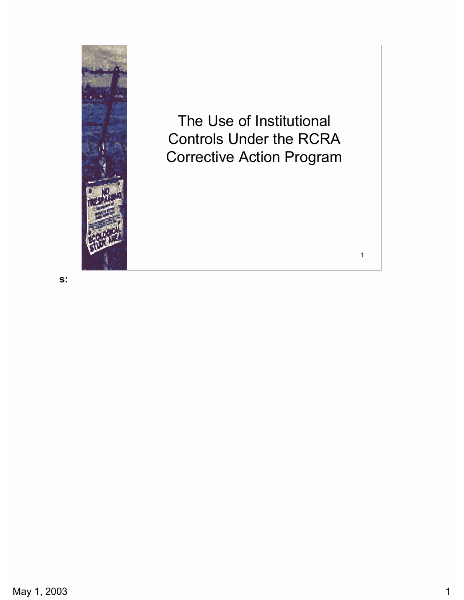

Controls Under the RCRA Corrective Action Program The Use of Institutional

1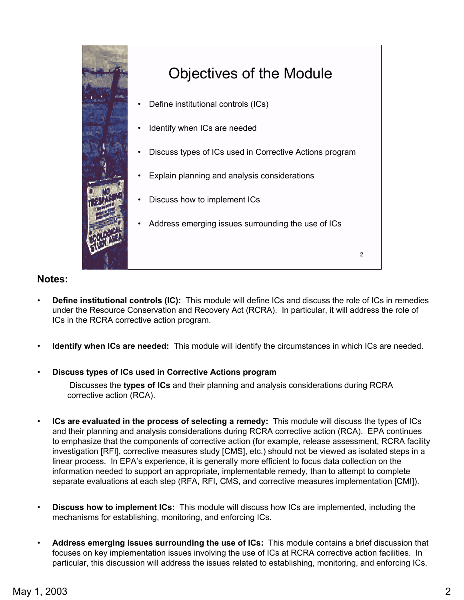

- **Define institutional controls (IC):** This module will define ICs and discuss the role of ICs in remedies under the Resource Conservation and Recovery Act (RCRA). In particular, it will address the role of ICs in the RCRA corrective action program.
- **Identify when ICs are needed:** This module will identify the circumstances in which ICs are needed.

#### • **Discuss types of ICs used in Corrective Actions program**

Discusses the **types of ICs** and their planning and analysis considerations during RCRA corrective action (RCA).

- **ICs are evaluated in the process of selecting a remedy:** This module will discuss the types of ICs and their planning and analysis considerations during RCRA corrective action (RCA). EPA continues to emphasize that the components of corrective action (for example, release assessment, RCRA facility investigation [RFI], corrective measures study [CMS], etc.) should not be viewed as isolated steps in a linear process. In EPA's experience, it is generally more efficient to focus data collection on the information needed to support an appropriate, implementable remedy, than to attempt to complete separate evaluations at each step (RFA, RFI, CMS, and corrective measures implementation [CMI]).
- **Discuss how to implement ICs:** This module will discuss how ICs are implemented, including the mechanisms for establishing, monitoring, and enforcing ICs.
- **Address emerging issues surrounding the use of ICs:** This module contains a brief discussion that focuses on key implementation issues involving the use of ICs at RCRA corrective action facilities. In particular, this discussion will address the issues related to establishing, monitoring, and enforcing ICs.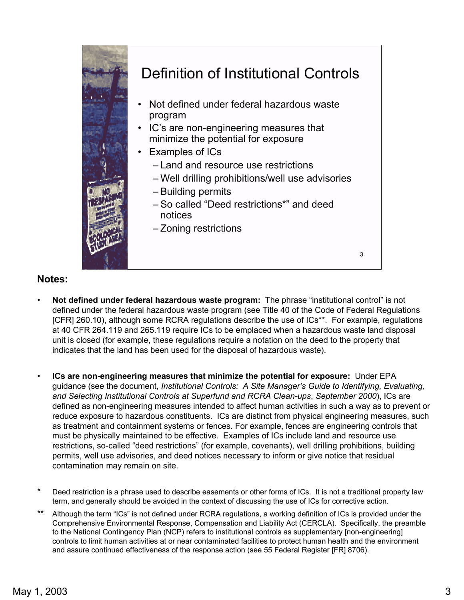

- Not defined under federal hazardous waste program: The phrase "institutional control" is not defined under the federal hazardous waste program (see Title 40 of the Code of Federal Regulations [CFR] 260.10), although some RCRA regulations describe the use of ICs<sup>\*\*</sup>. For example, regulations at 40 CFR 264.119 and 265.119 require ICs to be emplaced when a hazardous waste land disposal unit is closed (for example, these regulations require a notation on the deed to the property that indicates that the land has been used for the disposal of hazardous waste).
- **ICs are non-engineering measures that minimize the potential for exposure:** Under EPA guidance (see the document, *Institutional Controls: A Site Manager's Guide to Identifying, Evaluating, and Selecting Institutional Controls at Superfund and RCRA Clean-ups*, *September 2000*), ICs are defined as non-engineering measures intended to affect human activities in such a way as to prevent or reduce exposure to hazardous constituents. ICs are distinct from physical engineering measures, such as treatment and containment systems or fences. For example, fences are engineering controls that must be physically maintained to be effective. Examples of ICs include land and resource use restrictions, so-called "deed restrictions" (for example, covenants), well drilling prohibitions, building permits, well use advisories, and deed notices necessary to inform or give notice that residual contamination may remain on site.
- Deed restriction is a phrase used to describe easements or other forms of ICs. It is not a traditional property law term, and generally should be avoided in the context of discussing the use of ICs for corrective action.
- Although the term "ICs" is not defined under RCRA regulations, a working definition of ICs is provided under the Comprehensive Environmental Response, Compensation and Liability Act (CERCLA). Specifically, the preamble to the National Contingency Plan (NCP) refers to institutional controls as supplementary [non-engineering] controls to limit human activities at or near contaminated facilities to protect human health and the environment and assure continued effectiveness of the response action (see 55 Federal Register [FR] 8706).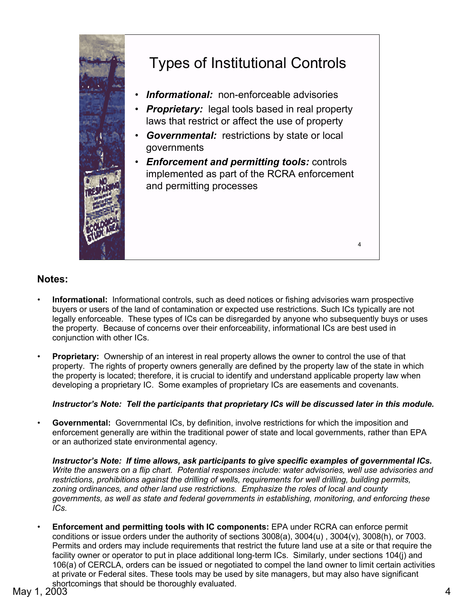

## Types of Institutional Controls

- Informational: non-enforceable advisories
- *Proprietary:*  legal tools based in real property laws that restrict or affect the use of property
- Governmental: restrictions by state or local governments
- *Enforcement and permitting tools:* controls implemented as part of the RCRA enforcement and permitting processes

4

### **Notes:**

- **Informational:** Informational controls, such as deed notices or fishing advisories warn prospective buyers or users of the land of contamination or expected use restrictions. Such ICs typically are not legally enforceable. These types of ICs can be disregarded by anyone who subsequently buys or uses the property. Because of concerns over their enforceability, informational ICs are best used in conjunction with other ICs.
- **Proprietary:** Ownership of an interest in real property allows the owner to control the use of that property. The rights of property owners generally are defined by the property law of the state in which the property is located; therefore, it is crucial to identify and understand applicable property law when developing a proprietary IC. Some examples of proprietary ICs are easements and covenants.

#### *Instructor's Note: Tell the participants that proprietary ICs will be discussed later in this module.*

• **Governmental:** Governmental ICs, by definition, involve restrictions for which the imposition and enforcement generally are within the traditional power of state and local governments, rather than EPA or an authorized state environmental agency.

*Instructor's Note: If time allows, ask participants to give specific examples of governmental ICs. Write the answers on a flip chart. Potential responses include: water advisories, well use advisories and restrictions, prohibitions against the drilling of wells, requirements for well drilling, building permits, zoning ordinances, and other land use restrictions. Emphasize the roles of local and county governments, as well as state and federal governments in establishing, monitoring, and enforcing these ICs.* 

• **Enforcement and permitting tools with IC components:** EPA under RCRA can enforce permit conditions or issue orders under the authority of sections 3008(a), 3004(u) , 3004(v), 3008(h), or 7003. Permits and orders may include requirements that restrict the future land use at a site or that require the facility owner or operator to put in place additional long-term ICs. Similarly, under sections 104(j) and 106(a) of CERCLA, orders can be issued or negotiated to compel the land owner to limit certain activities at private or Federal sites. These tools may be used by site managers, but may also have significant shortcomings that should be thoroughly evaluated.<br>May 1, 2003 4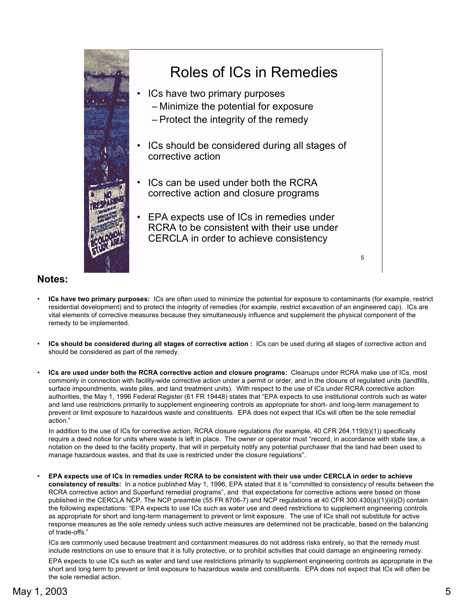

- **ICs have two primary purposes:** ICs are often used to minimize the potential for exposure to contaminants (for example, restrict residential development) and to protect the integrity of remedies (for example, restrict excavation of an engineered cap). ICs are vital elements of corrective measures because they simultaneously influence and supplement the physical component of the remedy to be implemented.
- **ICs should be considered during all stages of corrective action :** ICs can be used during all stages of corrective action and should be considered as part of the remedy.
- **ICs are used under both the RCRA corrective action and closure programs:** Cleanups under RCRA make use of ICs, most commonly in connection with facility-wide corrective action under a permit or order, and in the closure of regulated units (landfills, surface impoundments, waste piles, and land treatment units). With respect to the use of ICs under RCRA corrective action authorities, the May 1, 1996 Federal Register (61 FR 19448) states that "EPA expects to use institutional controls such as water and land use restrictions primarily to supplement engineering controls as appropriate for short- and long-term management to prevent or limit exposure to hazardous waste and constituents. EPA does not expect that ICs will often be the sole remedial action."

In addition to the use of ICs for corrective action, RCRA closure regulations (for example, 40 CFR 264.119(b)(1)) specifically require a deed notice for units where waste is left in place. The owner or operator must "record, in accordance with state law, a notation on the deed to the facility property, that will in perpetuity notify any potential purchaser that the land had been used to manage hazardous wastes, and that its use is restricted under the closure regulations".

• **EPA expects use of ICs in remedies under RCRA to be consistent with their use under CERCLA in order to achieve**  consistency of results: In a notice published May 1, 1996, EPA stated that it is "committed to consistency of results between the RCRA corrective action and Superfund remedial programs", and that expectations for corrective actions were based on those published in the CERCLA NCP. The NCP preamble (55 FR 8706-7) and NCP regulations at 40 CFR 300.430(a)(1)(iii)(D) contain the following expectations: "EPA expects to use ICs such as water use and deed restrictions to supplement engineering controls as appropriate for short and long-term management to prevent or limit exposure. The use of ICs shall not substitute for active response measures as the sole remedy unless such active measures are determined not be practicable, based on the balancing of trade-offs."

ICs are commonly used because treatment and containment measures do not address risks entirely, so that the remedy must include restrictions on use to ensure that it is fully protective, or to prohibit activities that could damage an engineering remedy.

EPA expects to use ICs such as water and land use restrictions primarily to supplement engineering controls as appropriate in the short and long term to prevent or limit exposure to hazardous waste and constituents. EPA does not expect that ICs will often be the sole remedial action.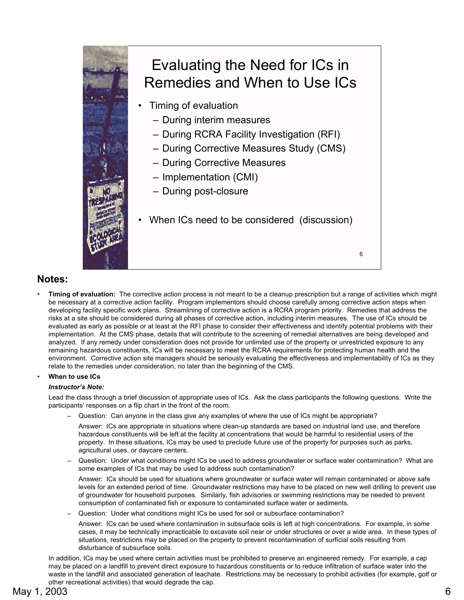

**Timing of evaluation:** The corrective action process is not meant to be a cleanup prescription but a range of activities which might be necessary at a corrective action facility. Program implementors should choose carefully among corrective action steps when developing facility specific work plans. Streamlining of corrective action is a RCRA program priority. Remedies that address the risks at a site should be considered during all phases of corrective action, including interim measures. The use of ICs should be evaluated as early as possible or at least at the RFI phase to consider their effectiveness and identify potential problems with their implementation. At the CMS phase, details that will contribute to the screening of remedial alternatives are being developed and analyzed. If any remedy under consideration does not provide for unlimited use of the property or unrestricted exposure to any remaining hazardous constituents, ICs will be necessary to meet the RCRA requirements for protecting human health and the environment. Corrective action site managers should be seriously evaluating the effectiveness and implementability of ICs as they relate to the remedies under consideration, no later than the beginning of the CMS.

#### • **When to use ICs**

#### *Instructor's Note:*

Lead the class through a brief discussion of appropriate uses of ICs. Ask the class participants the following questions. Write the participants' responses on a flip chart in the front of the room.

Question: Can anyone in the class give any examples of where the use of ICs might be appropriate?

Answer: ICs are appropriate in situations where clean-up standards are based on industrial land use, and therefore hazardous constituents will be left at the facility at concentrations that would be harmful to residential users of the property. In these situations, ICs may be used to preclude future use of the property for purposes such as parks, agricultural uses, or daycare centers.

Question: Under what conditions might ICs be used to address groundwater or surface water contamination? What are some examples of ICs that may be used to address such contamination?

Answer: ICs should be used for situations where groundwater or surface water will remain contaminated or above safe levels for an extended period of time. Groundwater restrictions may have to be placed on new well drilling to prevent use of groundwater for household purposes. Similarly, fish advisories or swimming restrictions may be needed to prevent consumption of contaminated fish or exposure to contaminated surface water or sediments.

Question: Under what conditions might ICs be used for soil or subsurface contamination?

Answer: ICs can be used where contamination in subsurface soils is left at high concentrations. For example, in some cases, it may be technically impracticable to excavate soil near or under structures or over a wide area. In these types of situations, restrictions may be placed on the property to prevent recontamination of surficial soils resulting from disturbance of subsurface soils.

In addition, ICs may be used where certain activities must be prohibited to preserve an engineered remedy. For example, a cap may be placed on a landfill to prevent direct exposure to hazardous constituents or to reduce infiltration of surface water into the waste in the landfill and associated generation of leachate. Restrictions may be necessary to prohibit activities (for example, golf or other recreational activities) that would degrade the cap.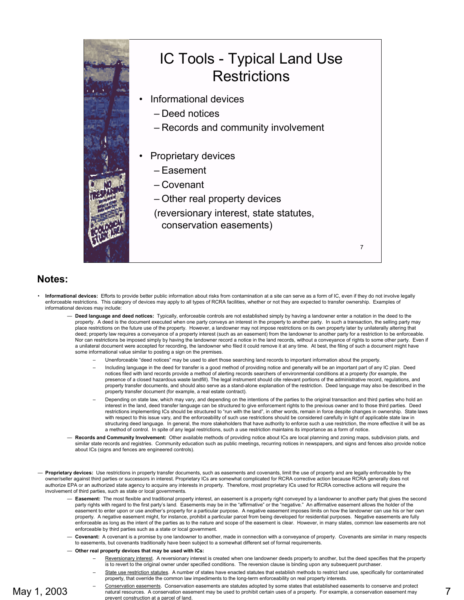

- **Informational devices:** Efforts to provide better public information about risks from contamination at a site can serve as a form of IC, even if they do not involve legally enforceable restrictions. This category of devices may apply to all types of RCRA facilities, whether or not they are expected to transfer ownership. Examples of informational devices may include:
	- **Deed language and deed notices:** Typically, enforceable controls are not established simply by having a landowner enter a notation in the deed to the property. A deed is the document executed when one party conveys an interest in the property to another party. In such a transaction, the selling party may place restrictions on the future use of the property. However, a landowner may not impose restrictions on its own property later by unilaterally altering that deed; property law requires a conveyance of a property interest (such as an easement) from the landowner to another party for a restriction to be enforceable. Nor can restrictions be imposed simply by having the landowner record a notice in the land records, without a conveyance of rights to some other party. Even if a unilateral document were accepted for recording, the landowner who filed it could remove it at any time. At best, the filing of such a document might have some informational value similar to posting a sign on the premises.
		- Unenforceable "deed notices" may be used to alert those searching land records to important information about the property
		- Including language in the deed for transfer is a good method of providing notice and generally will be an important part of any IC plan. Deed notices filed with land records provide a method of alerting records searchers of environmental conditions at a property (for example, the presence of a closed hazardous waste landfill). The legal instrument should cite relevant portions of the administrative record, regulations, and property transfer documents, and should also serve as a stand-alone explanation of the restriction. Deed language may also be described in the property transfer document (for example, a real estate contract).
		- Depending on state law, which may vary, and depending on the intentions of the parties to the original transaction and third parties who hold an interest in the land, deed transfer language can be structured to give enforcement rights to the previous owner and to those third parties. Deed restrictions implementing ICs should be structured to "run with the land", in other words, remain in force despite changes in ownership. State laws with respect to this issue vary, and the enforceability of such use restrictions should be considered carefully in light of applicable state law in structuring deed language. In general, the more stakeholders that have authority to enforce such a use restriction, the more effective it will be as a method of control. In spite of any legal restrictions, such a use restriction maintains its importance as a form of notice.
	- **Records and Community Involvement:** Other available methods of providing notice about ICs are local planning and zoning maps, subdivision plats, and similar state records and registries. Community education such as public meetings, recurring notices in newspapers, and signs and fences also provide notice about ICs (signs and fences are engineered controls).
- **Proprietary devices:** Use restrictions in property transfer documents, such as easements and covenants, limit the use of property and are legally enforceable by the owner/seller against third parties or successors in interest. Proprietary ICs are somewhat complicated for RCRA corrective action because RCRA generally does not authorize EPA or an authorized state agency to acquire any interests in property. Therefore, most proprietary ICs used for RCRA corrective actions will require the involvement of third parties, such as state or local governments.
	- **Easement:** The most flexible and traditional property interest, an easement is a property right conveyed by a landowner to another party that gives the second party rights with regard to the first party's land. Easements may be in the "affirmative" or the "negative." An affirmative easement allows the holder of the easement to enter upon or use another's property for a particular purpose. A negative easement imposes limits on how the landowner can use his or her own property. A negative easement might, for instance, prohibit a particular parcel from being developed for residential purposes. Negative easements are fully enforceable as long as the intent of the parties as to the nature and scope of the easement is clear. However, in many states, common law easements are not enforceable by third parties such as a state or local government.
	- **Covenant:** A covenant is a promise by one landowner to another, made in connection with a conveyance of property. Covenants are similar in many respects to easements, but covenants traditionally have been subject to a somewhat different set of formal requirements.

#### – **Other real property devices that may be used with ICs:**

- Reversionary interest. A reversionary interest is created when one landowner deeds property to another, but the deed specifies that the property is to revert to the original owner under specified conditions. The reversion clause is binding upon any subsequent purchaser.
- State use restriction statutes. A number of states have enacted statutes that establish methods to restrict land use, specifically for contaminated property, that override the common law impediments to the long-term enforceability on real property interests.
- Conservation easements. Conservation easements are statutes adopted by some states that established easements to conserve and protect natural resources. A conservation easement may be used to prohibit certain uses of a property. For example, a conservation easement may prevent construction at a parcel of land.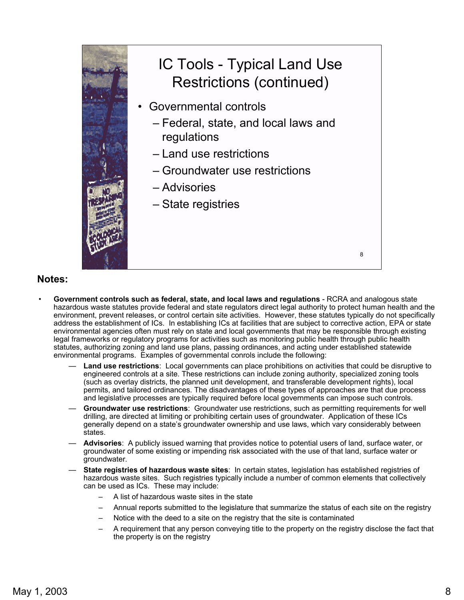

- **Government controls such as federal, state, and local laws and regulations**  RCRA and analogous state hazardous waste statutes provide federal and state regulators direct legal authority to protect human health and the environment, prevent releases, or control certain site activities. However, these statutes typically do not specifically address the establishment of ICs. In establishing ICs at facilities that are subject to corrective action, EPA or state environmental agencies often must rely on state and local governments that may be responsible through existing legal frameworks or regulatory programs for activities such as monitoring public health through public health statutes, authorizing zoning and land use plans, passing ordinances, and acting under established statewide environmental programs. Examples of governmental conrols include the following:
	- **Land use restrictions**: Local governments can place prohibitions on activities that could be disruptive to engineered controls at a site. These restrictions can include zoning authority, specialized zoning tools (such as overlay districts, the planned unit development, and transferable development rights), local permits, and tailored ordinances. The disadvantages of these types of approaches are that due process and legislative processes are typically required before local governments can impose such controls.
	- **Groundwater use restrictions**: Groundwater use restrictions, such as permitting requirements for well drilling, are directed at limiting or prohibiting certain uses of groundwater. Application of these ICs generally depend on a state's groundwater ownership and use laws, which vary considerably between states.
	- **Advisories**: A publicly issued warning that provides notice to potential users of land, surface water, or groundwater of some existing or impending risk associated with the use of that land, surface water or groundwater.
	- **State registries of hazardous waste sites**: In certain states, legislation has established registries of hazardous waste sites. Such registries typically include a number of common elements that collectively can be used as ICs. These may include:
		- A list of hazardous waste sites in the state
		- Annual reports submitted to the legislature that summarize the status of each site on the registry
		- Notice with the deed to a site on the registry that the site is contaminated
		- A requirement that any person conveying title to the property on the registry disclose the fact that the property is on the registry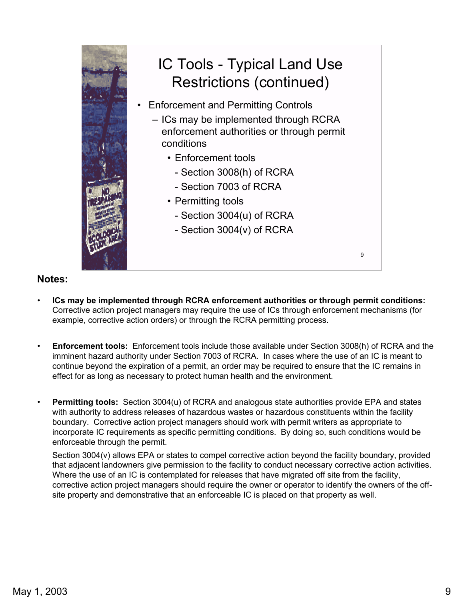

- **ICs may be implemented through RCRA enforcement authorities or through permit conditions:**  Corrective action project managers may require the use of ICs through enforcement mechanisms (for example, corrective action orders) or through the RCRA permitting process.
- **Enforcement tools:** Enforcement tools include those available under Section 3008(h) of RCRA and the imminent hazard authority under Section 7003 of RCRA. In cases where the use of an IC is meant to continue beyond the expiration of a permit, an order may be required to ensure that the IC remains in effect for as long as necessary to protect human health and the environment.
- **Permitting tools:** Section 3004(u) of RCRA and analogous state authorities provide EPA and states with authority to address releases of hazardous wastes or hazardous constituents within the facility boundary. Corrective action project managers should work with permit writers as appropriate to incorporate IC requirements as specific permitting conditions. By doing so, such conditions would be enforceable through the permit.

Section 3004(v) allows EPA or states to compel corrective action beyond the facility boundary, provided that adjacent landowners give permission to the facility to conduct necessary corrective action activities. Where the use of an IC is contemplated for releases that have migrated off site from the facility, corrective action project managers should require the owner or operator to identify the owners of the offsite property and demonstrative that an enforceable IC is placed on that property as well.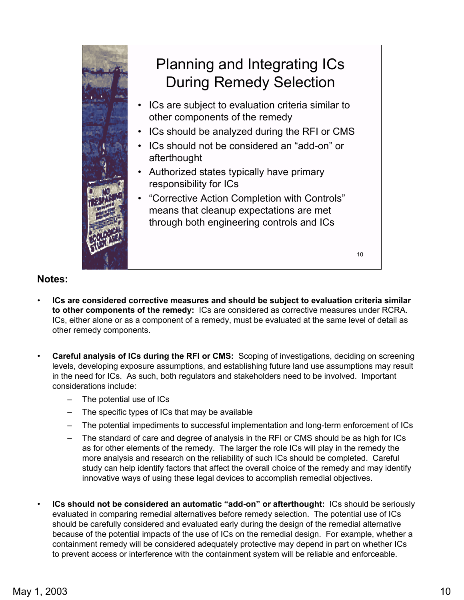

- **ICs are considered corrective measures and should be subject to evaluation criteria similar to other components of the remedy:** ICs are considered as corrective measures under RCRA. ICs, either alone or as a component of a remedy, must be evaluated at the same level of detail as other remedy components.
- **Careful analysis of ICs during the RFI or CMS:** Scoping of investigations, deciding on screening levels, developing exposure assumptions, and establishing future land use assumptions may result in the need for ICs. As such, both regulators and stakeholders need to be involved. Important considerations include:
	- The potential use of ICs
	- The specific types of ICs that may be available
	- The potential impediments to successful implementation and long-term enforcement of ICs
	- The standard of care and degree of analysis in the RFI or CMS should be as high for ICs as for other elements of the remedy. The larger the role ICs will play in the remedy the more analysis and research on the reliability of such ICs should be completed. Careful study can help identify factors that affect the overall choice of the remedy and may identify innovative ways of using these legal devices to accomplish remedial objectives.
- **ICs should not be considered an automatic "add-on" or afterthought: ICs should be seriously** evaluated in comparing remedial alternatives before remedy selection. The potential use of ICs should be carefully considered and evaluated early during the design of the remedial alternative because of the potential impacts of the use of ICs on the remedial design. For example, whether a containment remedy will be considered adequately protective may depend in part on whether ICs to prevent access or interference with the containment system will be reliable and enforceable.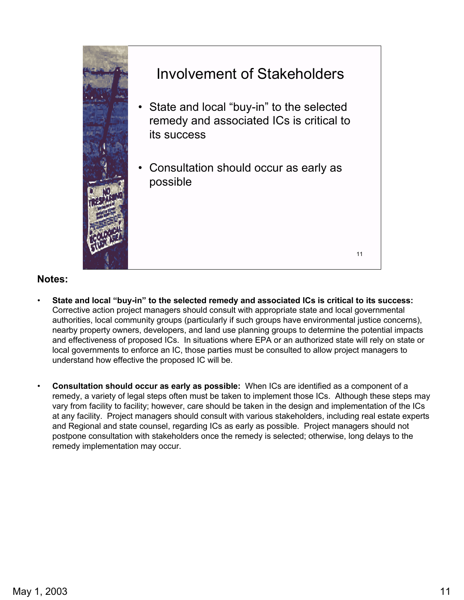

# Involvement of Stakeholders

- remedy and associated ICs is critical to its success State and local "buy-in" to the selected
- possible Consultation should occur as early as

11

- State and local "buy-in" to the selected remedy and associated ICs is critical to its success: Corrective action project managers should consult with appropriate state and local governmental authorities, local community groups (particularly if such groups have environmental justice concerns), nearby property owners, developers, and land use planning groups to determine the potential impacts and effectiveness of proposed ICs. In situations where EPA or an authorized state will rely on state or local governments to enforce an IC, those parties must be consulted to allow project managers to understand how effective the proposed IC will be.
- **Consultation should occur as early as possible:** When ICs are identified as a component of a remedy, a variety of legal steps often must be taken to implement those ICs. Although these steps may vary from facility to facility; however, care should be taken in the design and implementation of the ICs at any facility. Project managers should consult with various stakeholders, including real estate experts and Regional and state counsel, regarding ICs as early as possible. Project managers should not postpone consultation with stakeholders once the remedy is selected; otherwise, long delays to the remedy implementation may occur.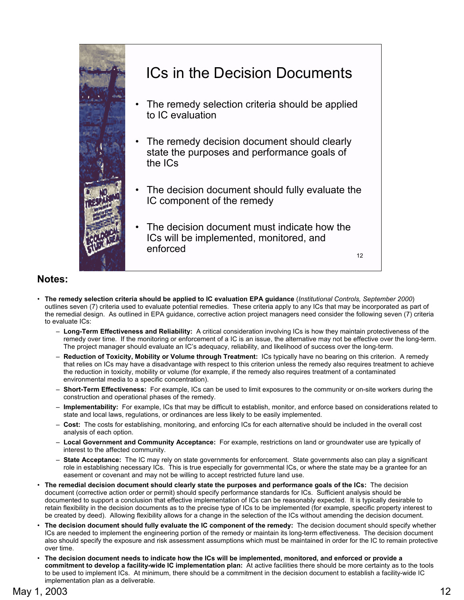

- **The remedy selection criteria should be applied to IC evaluation EPA guidance** (*Institutional Controls, September 2000*) outlines seven (7) criteria used to evaluate potential remedies. These criteria apply to any ICs that may be incorporated as part of the remedial design. As outlined in EPA guidance, corrective action project managers need consider the following seven (7) criteria to evaluate ICs:
	- œ **Long-Term Effectiveness and Reliability:** A critical consideration involving ICs is how they maintain protectiveness of the remedy over time. If the monitoring or enforcement of a IC is an issue, the alternative may not be effective over the long-term. The project manager should evaluate an IC's adequacy, reliability, and likelihood of success over the long-term.
	- œ **Reduction of Toxicity, Mobility or Volume through Treatment:** ICs typically have no bearing on this criterion. A remedy that relies on ICs may have a disadvantage with respect to this criterion unless the remedy also requires treatment to achieve the reduction in toxicity, mobility or volume (for example, if the remedy also requires treatment of a contaminated environmental media to a specific concentration).
	- œ **Short-Term Effectiveness:** For example, ICs can be used to limit exposures to the community or on-site workers during the construction and operational phases of the remedy.
	- œ **Implementability:** For example, ICs that may be difficult to establish, monitor, and enforce based on considerations related to state and local laws, regulations, or ordinances are less likely to be easily implemented.
	- œ **Cost:** The costs for establishing, monitoring, and enforcing ICs for each alternative should be included in the overall cost analysis of each option.
	- œ **Local Government and Community Acceptance:** For example, restrictions on land or groundwater use are typically of interest to the affected community.
	- $-$  State Acceptance: The IC may rely on state governments for enforcement. State governments also can play a significant role in establishing necessary ICs. This is true especially for governmental ICs, or where the state may be a grantee for an easement or covenant and may not be willing to accept restricted future land use.
- **The remedial decision document should clearly state the purposes and performance goals of the ICs:** The decision document (corrective action order or permit) should specify performance standards for ICs. Sufficient analysis should be documented to support a conclusion that effective implementation of ICs can be reasonably expected. It is typically desirable to retain flexibility in the decision documents as to the precise type of ICs to be implemented (for example, specific property interest to be created by deed). Allowing flexibility allows for a change in the selection of the ICs without amending the decision document.
- **The decision document should fully evaluate the IC component of the remedy:** The decision document should specify whether ICs are needed to implement the engineering portion of the remedy or maintain its long-term effectiveness. The decision document also should specify the exposure and risk assessment assumptions which must be maintained in order for the IC to remain protective over time.
- **The decision document needs to indicate how the ICs will be implemented, monitored, and enforced or provide a commitment to develop a facility-wide IC implementation plan:** At active facilities there should be more certainty as to the tools to be used to implement ICs. At minimum, there should be a commitment in the decision document to establish a facility-wide IC implementation plan as a deliverable.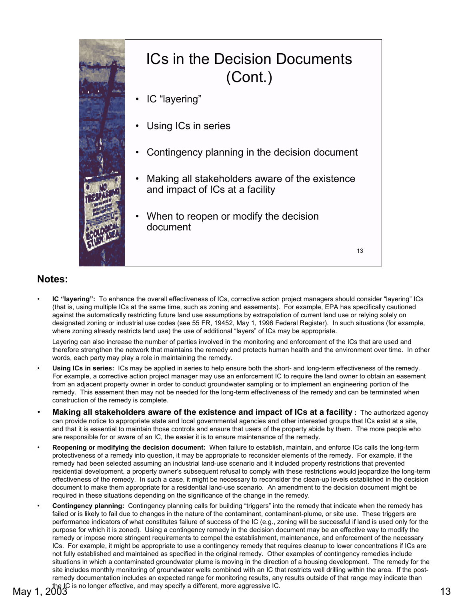

### ICs in the Decision Documents (Cont.)

- IC "layering"
- Using ICs in series
- Contingency planning in the decision document
- Making all stakeholders aware of the existence and impact of ICs at a facility
- document When to reopen or modify the decision

13

### **Notes:**

IC "layering": To enhance the overall effectiveness of ICs, corrective action project managers should consider "layering" ICs (that is, using multiple ICs at the same time, such as zoning and easements). For example, EPA has specifically cautioned against the automatically restricting future land use assumptions by extrapolation of current land use or relying solely on designated zoning or industrial use codes (see 55 FR, 19452, May 1, 1996 Federal Register). In such situations (for example, where zoning already restricts land use) the use of additional "layers" of ICs may be appropriate.

Layering can also increase the number of parties involved in the monitoring and enforcement of the ICs that are used and therefore strengthen the network that maintains the remedy and protects human health and the environment over time. In other words, each party may play a role in maintaining the remedy.

- **Using ICs in series:** ICs may be applied in series to help ensure both the short- and long-term effectiveness of the remedy. For example, a corrective action project manager may use an enforcement IC to require the land owner to obtain an easement from an adjacent property owner in order to conduct groundwater sampling or to implement an engineering portion of the remedy. This easement then may not be needed for the long-term effectiveness of the remedy and can be terminated when construction of the remedy is complete.
- **Making all stakeholders aware of the existence and impact of ICs at a facility :** The authorized agency can provide notice to appropriate state and local governmental agencies and other interested groups that ICs exist at a site, and that it is essential to maintain those controls and ensure that users of the property abide by them. The more people who are responsible for or aware of an IC, the easier it is to ensure maintenance of the remedy.
- **Reopening or modifying the decision document:** When failure to establish, maintain, and enforce ICs calls the long-term protectiveness of a remedy into question, it may be appropriate to reconsider elements of the remedy. For example, if the remedy had been selected assuming an industrial land-use scenario and it included property restrictions that prevented residential development, a property owner's subsequent refusal to comply with these restrictions would jeopardize the long-term effectiveness of the remedy. In such a case, it might be necessary to reconsider the clean-up levels established in the decision document to make them appropriate for a residential land-use scenario. An amendment to the decision document might be required in these situations depending on the significance of the change in the remedy.
- Contingency planning: Contingency planning calls for building "triggers" into the remedy that indicate when the remedy has failed or is likely to fail due to changes in the nature of the contaminant, contaminant-plume, or site use. These triggers are performance indicators of what constitutes failure of success of the IC (e.g., zoning will be successful if land is used only for the purpose for which it is zoned). Using a contingency remedy in the decision document may be an effective way to modify the remedy or impose more stringent requirements to compel the establishment, maintenance, and enforcement of the necessary ICs. For example, it might be appropriate to use a contingency remedy that requires cleanup to lower concentrations if ICs are not fully established and maintained as specified in the original remedy. Other examples of contingency remedies include situations in which a contaminated groundwater plume is moving in the direction of a housing development. The remedy for the site includes monthly monitoring of groundwater wells combined with an IC that restricts well drilling within the area. If the postremedy documentation includes an expected range for monitoring results, any results outside of that range may indicate than the IC is no longer effective, and may specify a different, more aggressive IC.<br>13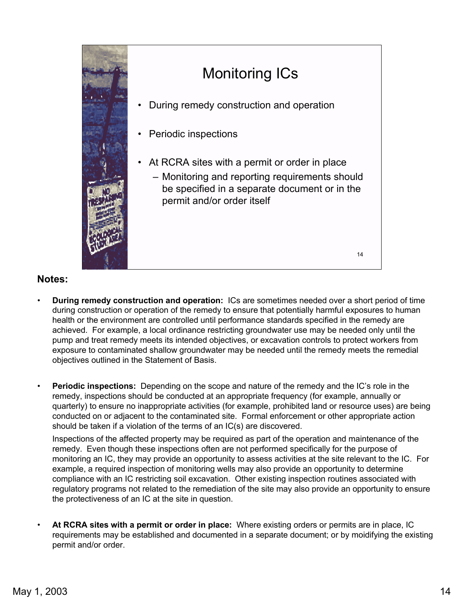

# 14 Monitoring ICs • • Periodic inspections • At RCRA sites with a permit or order in place permit and/or order itself During remedy construction and operation - Monitoring and reporting requirements should be specified in a separate document or in the

### **Notes:**

- **During remedy construction and operation:** ICs are sometimes needed over a short period of time during construction or operation of the remedy to ensure that potentially harmful exposures to human health or the environment are controlled until performance standards specified in the remedy are achieved. For example, a local ordinance restricting groundwater use may be needed only until the pump and treat remedy meets its intended objectives, or excavation controls to protect workers from exposure to contaminated shallow groundwater may be needed until the remedy meets the remedial objectives outlined in the Statement of Basis.
- **Periodic inspections:** Depending on the scope and nature of the remedy and the IC's role in the remedy, inspections should be conducted at an appropriate frequency (for example, annually or quarterly) to ensure no inappropriate activities (for example, prohibited land or resource uses) are being conducted on or adjacent to the contaminated site. Formal enforcement or other appropriate action should be taken if a violation of the terms of an IC(s) are discovered.

Inspections of the affected property may be required as part of the operation and maintenance of the remedy. Even though these inspections often are not performed specifically for the purpose of monitoring an IC, they may provide an opportunity to assess activities at the site relevant to the IC. For example, a required inspection of monitoring wells may also provide an opportunity to determine compliance with an IC restricting soil excavation. Other existing inspection routines associated with regulatory programs not related to the remediation of the site may also provide an opportunity to ensure the protectiveness of an IC at the site in question.

• **At RCRA sites with a permit or order in place:** Where existing orders or permits are in place, IC requirements may be established and documented in a separate document; or by moidifying the existing permit and/or order.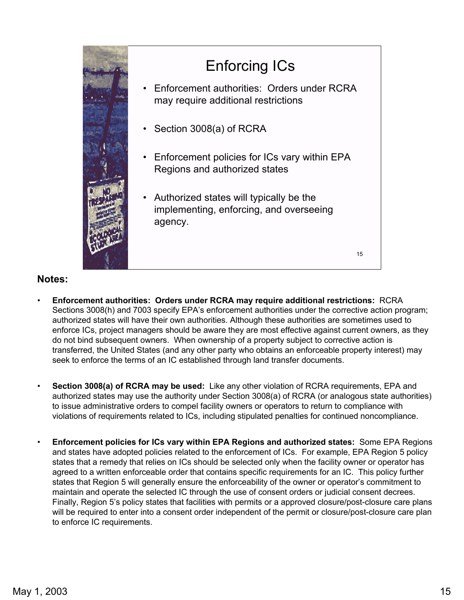

## Enforcing ICs

- Enforcement authorities: Orders under RCRA may require additional restrictions
- Section 3008(a) of RCRA
- Enforcement policies for ICs vary within EPA Regions and authorized states
- Authorized states will typically be the implementing, enforcing, and overseeing agency.

15

- **Enforcement authorities: Orders under RCRA may require additional restrictions:** RCRA Sections 3008(h) and 7003 specify EPA's enforcement authorities under the corrective action program; authorized states will have their own authorities. Although these authorities are sometimes used to enforce ICs, project managers should be aware they are most effective against current owners, as they do not bind subsequent owners. When ownership of a property subject to corrective action is transferred, the United States (and any other party who obtains an enforceable property interest) may seek to enforce the terms of an IC established through land transfer documents.
- **Section 3008(a) of RCRA may be used:** Like any other violation of RCRA requirements, EPA and authorized states may use the authority under Section 3008(a) of RCRA (or analogous state authorities) to issue administrative orders to compel facility owners or operators to return to compliance with violations of requirements related to ICs, including stipulated penalties for continued noncompliance.
- **Enforcement policies for ICs vary within EPA Regions and authorized states:** Some EPA Regions and states have adopted policies related to the enforcement of ICs. For example, EPA Region 5 policy states that a remedy that relies on ICs should be selected only when the facility owner or operator has agreed to a written enforceable order that contains specific requirements for an IC. This policy further states that Region 5 will generally ensure the enforceability of the owner or operator's commitment to maintain and operate the selected IC through the use of consent orders or judicial consent decrees. Finally, Region 5's policy states that facilities with permits or a approved closure/post-closure care plans will be required to enter into a consent order independent of the permit or closure/post-closure care plan to enforce IC requirements.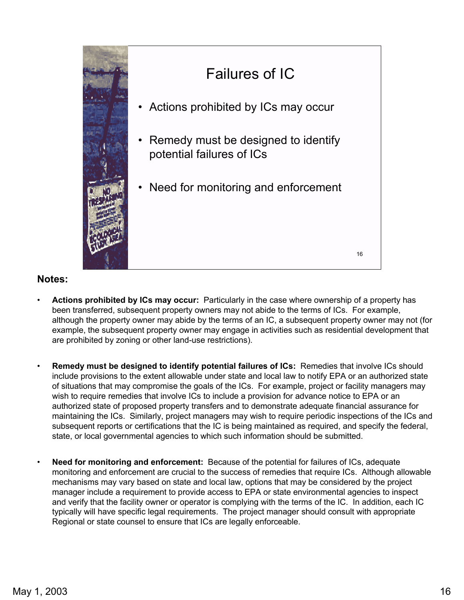

# Failures of IC

- Actions prohibited by ICs may occur
- Remedy must be designed to identify potential failures of ICs
- Need for monitoring and enforcement

16

- **Actions prohibited by ICs may occur:** Particularly in the case where ownership of a property has been transferred, subsequent property owners may not abide to the terms of ICs. For example, although the property owner may abide by the terms of an IC, a subsequent property owner may not (for example, the subsequent property owner may engage in activities such as residential development that are prohibited by zoning or other land-use restrictions).
- **Remedy must be designed to identify potential failures of ICs:** Remedies that involve ICs should include provisions to the extent allowable under state and local law to notify EPA or an authorized state of situations that may compromise the goals of the ICs. For example, project or facility managers may wish to require remedies that involve ICs to include a provision for advance notice to EPA or an authorized state of proposed property transfers and to demonstrate adequate financial assurance for maintaining the ICs. Similarly, project managers may wish to require periodic inspections of the ICs and subsequent reports or certifications that the IC is being maintained as required, and specify the federal, state, or local governmental agencies to which such information should be submitted.
- **Need for monitoring and enforcement:** Because of the potential for failures of ICs, adequate monitoring and enforcement are crucial to the success of remedies that require ICs. Although allowable mechanisms may vary based on state and local law, options that may be considered by the project manager include a requirement to provide access to EPA or state environmental agencies to inspect and verify that the facility owner or operator is complying with the terms of the IC. In addition, each IC typically will have specific legal requirements. The project manager should consult with appropriate Regional or state counsel to ensure that ICs are legally enforceable.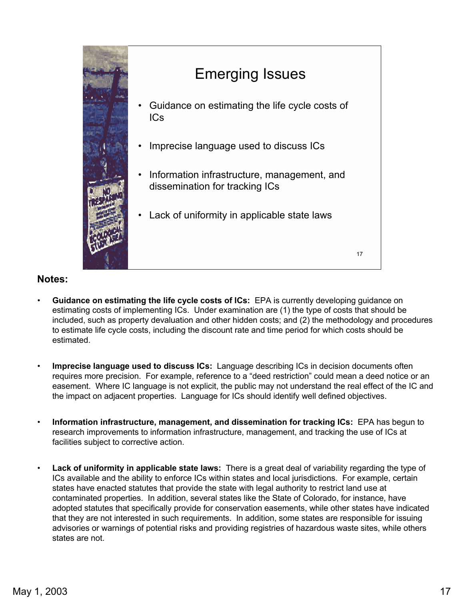

## Emerging Issues

- Guidance on estimating the life cycle costs of ICs
- Imprecise language used to discuss ICs
- Information infrastructure, management, and dissemination for tracking ICs

17

• Lack of uniformity in applicable state laws

- **Guidance on estimating the life cycle costs of ICs:** EPA is currently developing guidance on estimating costs of implementing ICs. Under examination are (1) the type of costs that should be included, such as property devaluation and other hidden costs; and (2) the methodology and procedures to estimate life cycle costs, including the discount rate and time period for which costs should be estimated.
- **Imprecise language used to discuss ICs:** Language describing ICs in decision documents often requires more precision. For example, reference to a "deed restriction" could mean a deed notice or an easement. Where IC language is not explicit, the public may not understand the real effect of the IC and the impact on adjacent properties. Language for ICs should identify well defined objectives.
- **Information infrastructure, management, and dissemination for tracking ICs:** EPA has begun to research improvements to information infrastructure, management, and tracking the use of ICs at facilities subject to corrective action.
- **Lack of uniformity in applicable state laws:** There is a great deal of variability regarding the type of ICs available and the ability to enforce ICs within states and local jurisdictions. For example, certain states have enacted statutes that provide the state with legal authority to restrict land use at contaminated properties. In addition, several states like the State of Colorado, for instance, have adopted statutes that specifically provide for conservation easements, while other states have indicated that they are not interested in such requirements. In addition, some states are responsible for issuing advisories or warnings of potential risks and providing registries of hazardous waste sites, while others states are not.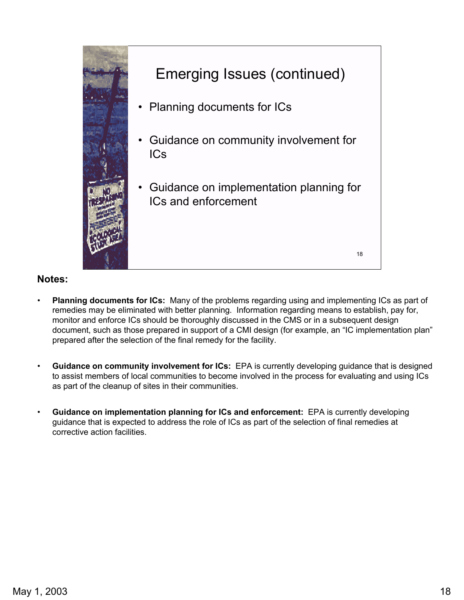

- **Planning documents for ICs:** Many of the problems regarding using and implementing ICs as part of remedies may be eliminated with better planning. Information regarding means to establish, pay for, monitor and enforce ICs should be thoroughly discussed in the CMS or in a subsequent design document, such as those prepared in support of a CMI design (for example, an "IC implementation plan" prepared after the selection of the final remedy for the facility.
- **Guidance on community involvement for ICs:** EPA is currently developing guidance that is designed to assist members of local communities to become involved in the process for evaluating and using ICs as part of the cleanup of sites in their communities.
- **Guidance on implementation planning for ICs and enforcement:** EPA is currently developing guidance that is expected to address the role of ICs as part of the selection of final remedies at corrective action facilities.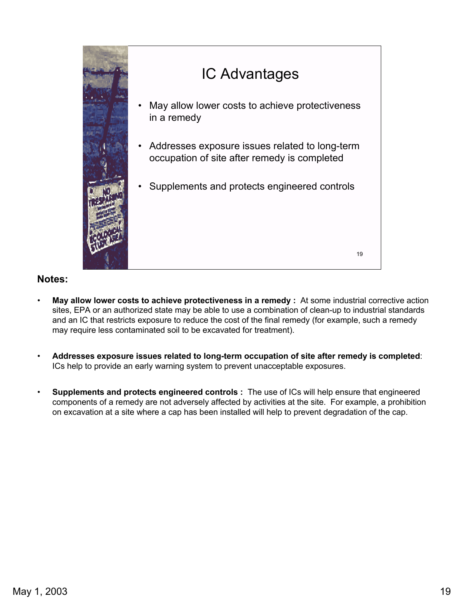

• **May allow lower costs to achieve protectiveness in a remedy :** At some industrial corrective action sites, EPA or an authorized state may be able to use a combination of clean-up to industrial standards and an IC that restricts exposure to reduce the cost of the final remedy (for example, such a remedy may require less contaminated soil to be excavated for treatment).

19

- **Addresses exposure issues related to long-term occupation of site after remedy is completed**: ICs help to provide an early warning system to prevent unacceptable exposures.
- **Supplements and protects engineered controls :** The use of ICs will help ensure that engineered components of a remedy are not adversely affected by activities at the site. For example, a prohibition on excavation at a site where a cap has been installed will help to prevent degradation of the cap.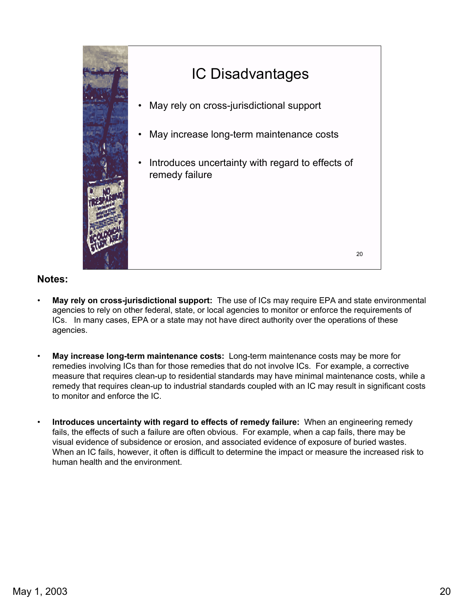

### IC Disadvantages

- May rely on cross-jurisdictional support
- May increase long-term maintenance costs
- remedy failure Introduces uncertainty with regard to effects of

20

- **May rely on cross-jurisdictional support:** The use of ICs may require EPA and state environmental agencies to rely on other federal, state, or local agencies to monitor or enforce the requirements of ICs. In many cases, EPA or a state may not have direct authority over the operations of these agencies.
- **May increase long-term maintenance costs:** Long-term maintenance costs may be more for remedies involving ICs than for those remedies that do not involve ICs. For example, a corrective measure that requires clean-up to residential standards may have minimal maintenance costs, while a remedy that requires clean-up to industrial standards coupled with an IC may result in significant costs to monitor and enforce the IC.
- **Introduces uncertainty with regard to effects of remedy failure:** When an engineering remedy fails, the effects of such a failure are often obvious. For example, when a cap fails, there may be visual evidence of subsidence or erosion, and associated evidence of exposure of buried wastes. When an IC fails, however, it often is difficult to determine the impact or measure the increased risk to human health and the environment.